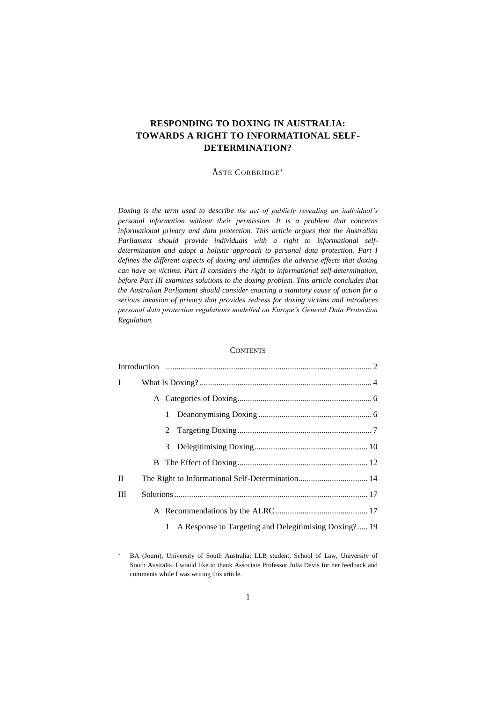# **RESPONDING TO DOXING IN AUSTRALIA: TOWARDS A RIGHT TO INFORMATIONAL SELF-DETERMINATION?**

## ÅSTE CORBRIDGE\*

*Doxing is the term used to describe the act of publicly revealing an individual's personal information without their permission. It is a problem that concerns informational privacy and data protection. This article argues that the Australian Parliament should provide individuals with a right to informational selfdetermination and adopt a holistic approach to personal data protection. Part I defines the different aspects of doxing and identifies the adverse effects that doxing can have on victims. Part II considers the right to informational self-determination, before Part III examines solutions to the doxing problem. This article concludes that the Australian Parliament should consider enacting a statutory cause of action for a serious invasion of privacy that provides redress for doxing victims and introduces personal data protection regulations modelled on Europe's General Data Protection Regulation.*

### **CONTENTS**

| $\mathbf{I}$ |   |                                                       |  |
|--------------|---|-------------------------------------------------------|--|
|              |   |                                                       |  |
|              | 1 |                                                       |  |
|              | 2 |                                                       |  |
|              |   |                                                       |  |
|              |   |                                                       |  |
| $\mathbf{I}$ |   |                                                       |  |
| Ш            |   |                                                       |  |
|              |   |                                                       |  |
|              |   | A Response to Targeting and Delegitimising Doxing? 19 |  |

BA (Journ), University of South Australia; LLB student, School of Law, University of South Australia. I would like to thank Associate Professor Julia Davis for her feedback and comments while I was writing this article.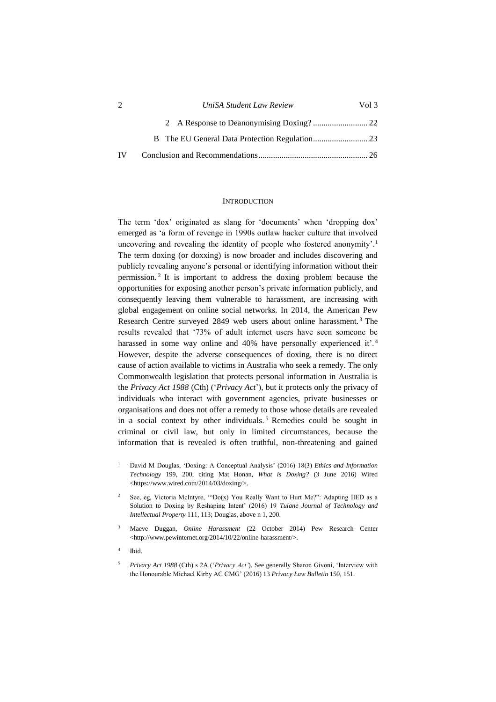| 2   | UniSA Student Law Review | Vol 3 |
|-----|--------------------------|-------|
|     |                          |       |
|     |                          |       |
| IV. |                          |       |

### <span id="page-1-1"></span>**INTRODUCTION**

<span id="page-1-2"></span><span id="page-1-0"></span>The term 'dox' originated as slang for 'documents' when 'dropping dox' emerged as 'a form of revenge in 1990s outlaw hacker culture that involved uncovering and revealing the identity of people who fostered anonymity'.<sup>1</sup> The term doxing (or doxxing) is now broader and includes discovering and publicly revealing anyone's personal or identifying information without their permission. <sup>2</sup> It is important to address the doxing problem because the opportunities for exposing another person's private information publicly, and consequently leaving them vulnerable to harassment, are increasing with global engagement on online social networks. In 2014, the American Pew Research Centre surveyed 2849 web users about online harassment. <sup>3</sup> The results revealed that '73% of adult internet users have seen someone be harassed in some way online and 40% have personally experienced it'.<sup>4</sup> However, despite the adverse consequences of doxing, there is no direct cause of action available to victims in Australia who seek a remedy. The only Commonwealth legislation that protects personal information in Australia is the *Privacy Act 1988* (Cth) ('*Privacy Act*'), but it protects only the privacy of individuals who interact with government agencies, private businesses or organisations and does not offer a remedy to those whose details are revealed in a social context by other individuals.<sup>5</sup> Remedies could be sought in criminal or civil law, but only in limited circumstances, because the information that is revealed is often truthful, non-threatening and gained

- <sup>1</sup> David M Douglas, 'Doxing: A Conceptual Analysis' (2016) 18(3) *Ethics and Information Technology* 199, 200, citing Mat Honan, *What is Doxing?* (3 June 2016) Wired <https://www.wired.com/2014/03/doxing/>.
- See, eg, Victoria McIntyre, "Do(x) You Really Want to Hurt Me?": Adapting IIED as a Solution to Doxing by Reshaping Intent' (2016) 19 *Tulane Journal of Technology and Intellectual Property* 111, 113; Douglas, above n [1,](#page-1-1) 200.
- <sup>3</sup> Maeve Duggan, *Online Harassment* (22 October 2014) Pew Research Center <http://www.pewinternet.org/2014/10/22/online-harassment/>.
- 4 Ibid.
- <sup>5</sup> *Privacy Act 1988* (Cth) s 2A ('*Privacy Act'*). See generally Sharon Givoni, 'Interview with the Honourable Michael Kirby AC CMG' (2016) 13 *Privacy Law Bulletin* 150, 151.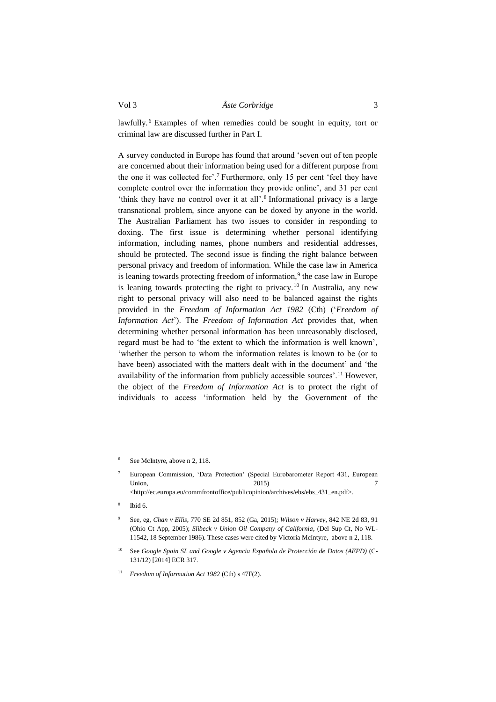lawfully. <sup>6</sup> Examples of when remedies could be sought in equity, tort or criminal law are discussed further in Part I.

A survey conducted in Europe has found that around 'seven out of ten people are concerned about their information being used for a different purpose from the one it was collected for'.<sup>7</sup> Furthermore, only 15 per cent 'feel they have complete control over the information they provide online', and 31 per cent 'think they have no control over it at all'.<sup>8</sup> Informational privacy is a large transnational problem, since anyone can be doxed by anyone in the world. The Australian Parliament has two issues to consider in responding to doxing. The first issue is determining whether personal identifying information, including names, phone numbers and residential addresses, should be protected. The second issue is finding the right balance between personal privacy and freedom of information. While the case law in America is leaning towards protecting freedom of information,<sup>9</sup> the case law in Europe is leaning towards protecting the right to privacy.<sup>10</sup> In Australia, any new right to personal privacy will also need to be balanced against the rights provided in the *Freedom of Information Act 1982* (Cth) ('*Freedom of Information Act*'). The *Freedom of Information Act* provides that, when determining whether personal information has been unreasonably disclosed, regard must be had to 'the extent to which the information is well known', 'whether the person to whom the information relates is known to be (or to have been) associated with the matters dealt with in the document' and 'the availability of the information from publicly accessible sources'.<sup>11</sup> However, the object of the *Freedom of Information Act* is to protect the right of individuals to access 'information held by the Government of the

See McIntyre, above [n 2,](#page-1-2) 118.

<sup>7</sup> European Commission, 'Data Protection' (Special Eurobarometer Report 431, European Union, 2015) 7 <http://ec.europa.eu/commfrontoffice/publicopinion/archives/ebs/ebs\_431\_en.pdf>.

<sup>8</sup> Ibid 6.

<sup>9</sup> See, eg, *Chan v Ellis*, 770 SE 2d 851, 852 (Ga, 2015); *Wilson v Harvey*, 842 NE 2d 83, 91 (Ohio Ct App, 2005); *Slibeck v Union Oil Company of California*, (Del Sup Ct, No WL-11542, 18 September 1986). These cases were cited by Victoria McIntyre, above n 2, 118.

<sup>10</sup> See *Google Spain SL and Google v Agencia Española de Protección de Datos (AEPD)* (C-131/12) [2014] ECR 317.

<sup>11</sup> *Freedom of Information Act 1982* (Cth) s 47F(2).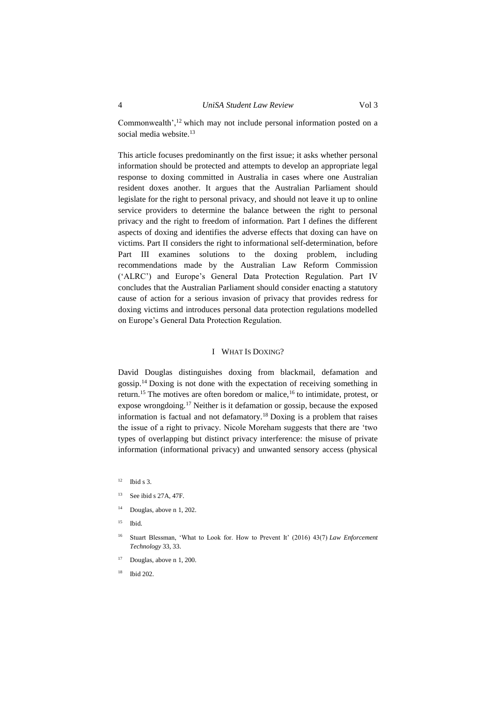Commonwealth',<sup>12</sup> which may not include personal information posted on a social media website.<sup>13</sup>

This article focuses predominantly on the first issue; it asks whether personal information should be protected and attempts to develop an appropriate legal response to doxing committed in Australia in cases where one Australian resident doxes another. It argues that the Australian Parliament should legislate for the right to personal privacy, and should not leave it up to online service providers to determine the balance between the right to personal privacy and the right to freedom of information. Part I defines the different aspects of doxing and identifies the adverse effects that doxing can have on victims. Part II considers the right to informational self-determination, before Part III examines solutions to the doxing problem, including recommendations made by the Australian Law Reform Commission ('ALRC') and Europe's General Data Protection Regulation. Part IV concludes that the Australian Parliament should consider enacting a statutory cause of action for a serious invasion of privacy that provides redress for doxing victims and introduces personal data protection regulations modelled on Europe's General Data Protection Regulation.

## I WHAT IS DOXING?

<span id="page-3-0"></span>David Douglas distinguishes doxing from blackmail, defamation and gossip.<sup>14</sup> Doxing is not done with the expectation of receiving something in return.<sup>15</sup> The motives are often boredom or malice,<sup>16</sup> to intimidate, protest, or expose wrongdoing.<sup>17</sup> Neither is it defamation or gossip, because the exposed information is factual and not defamatory.<sup>18</sup> Doxing is a problem that raises the issue of a right to privacy. Nicole Moreham suggests that there are 'two types of overlapping but distinct privacy interference: the misuse of private information (informational privacy) and unwanted sensory access (physical

- <sup>13</sup> See ibid s 27A, 47F.
- $14$  Douglas, above [n 1,](#page-1-1) 202.
- $15$  Ibid.
- <sup>16</sup> Stuart Blessman, 'What to Look for. How to Prevent It' (2016) 43(7) *Law Enforcement Technology* 33, 33.
- Douglas, above [n 1,](#page-1-1) 200.
- <sup>18</sup> Ibid 202.

 $12$  Ibid s 3.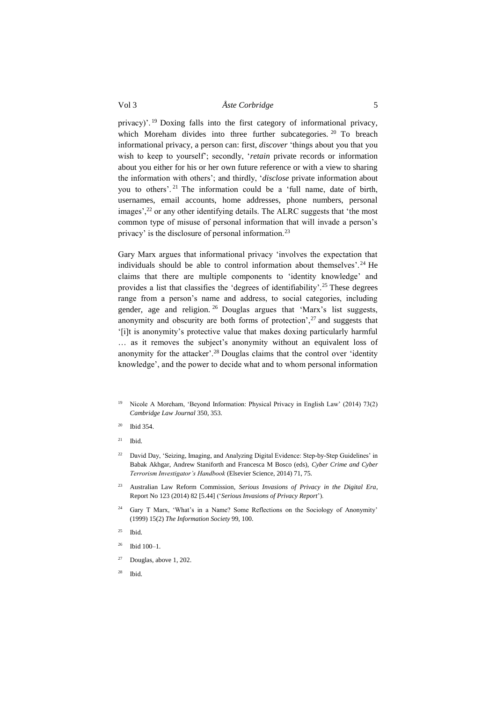privacy)'.<sup>19</sup> Doxing falls into the first category of informational privacy, which Moreham divides into three further subcategories. <sup>20</sup> To breach informational privacy, a person can: first, *discover* 'things about you that you wish to keep to yourself'; secondly, '*retain* private records or information about you either for his or her own future reference or with a view to sharing the information with others'; and thirdly, '*disclose* private information about you to others'. <sup>21</sup> The information could be a 'full name, date of birth, usernames, email accounts, home addresses, phone numbers, personal images',<sup>22</sup> or any other identifying details. The ALRC suggests that 'the most common type of misuse of personal information that will invade a person's privacy' is the disclosure of personal information.<sup>23</sup>

<span id="page-4-0"></span>Gary Marx argues that informational privacy 'involves the expectation that individuals should be able to control information about themselves'. <sup>24</sup> He claims that there are multiple components to 'identity knowledge' and provides a list that classifies the 'degrees of identifiability'.<sup>25</sup> These degrees range from a person's name and address, to social categories, including gender, age and religion. <sup>26</sup> Douglas argues that 'Marx's list suggests, anonymity and obscurity are both forms of protection',  $27$  and suggests that '[i]t is anonymity's protective value that makes doxing particularly harmful … as it removes the subject's anonymity without an equivalent loss of anonymity for the attacker'.<sup>28</sup> Douglas claims that the control over 'identity knowledge', and the power to decide what and to whom personal information

- <sup>19</sup> Nicole A Moreham, 'Beyond Information: Physical Privacy in English Law' (2014) 73(2) *Cambridge Law Journal* 350, 353.
- $20$  Ibid 354.
- $21$  Ibid.
- <sup>22</sup> David Day, 'Seizing, Imaging, and Analyzing Digital Evidence: Step-by-Step Guidelines' in Babak Akhgar, Andrew Staniforth and Francesca M Bosco (eds), *Cyber Crime and Cyber Terrorism Investigator's Handbook* (Elsevier Science, 2014) 71, 75.
- <sup>23</sup> Australian Law Reform Commission, *Serious Invasions of Privacy in the Digital Era*, Report No 123 (2014) 82 [5.44] ('*Serious Invasions of Privacy Report*').
- <sup>24</sup> Gary T Marx, 'What's in a Name? Some Reflections on the Sociology of Anonymity' (1999) 15(2) *The Information Society* 99, 100.
- $25$  Ibid.
- $26$  Ibid 100–1.
- $27$  Douglas, abov[e 1,](#page-1-1) 202.
- <sup>28</sup> Ibid.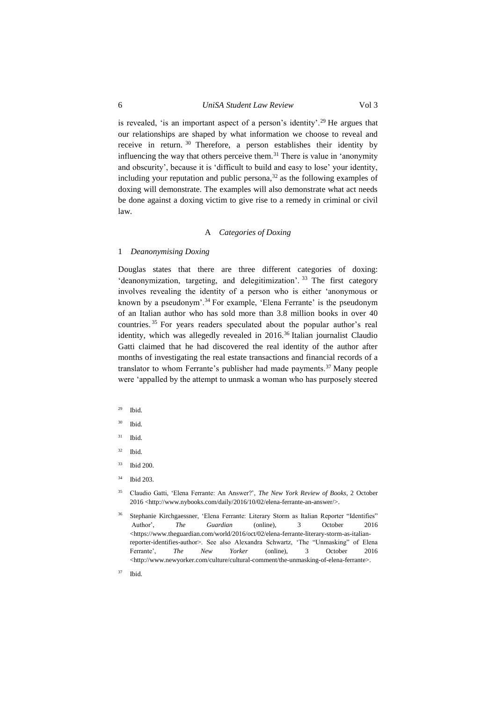is revealed, 'is an important aspect of a person's identity'.<sup>29</sup> He argues that our relationships are shaped by what information we choose to reveal and receive in return. <sup>30</sup> Therefore, a person establishes their identity by influencing the way that others perceive them.<sup>31</sup> There is value in 'anonymity and obscurity', because it is 'difficult to build and easy to lose' your identity, including your reputation and public persona,  $32$  as the following examples of doxing will demonstrate. The examples will also demonstrate what act needs be done against a doxing victim to give rise to a remedy in criminal or civil law.

## A *Categories of Doxing*

#### <span id="page-5-1"></span><span id="page-5-0"></span>1 *Deanonymising Doxing*

Douglas states that there are three different categories of doxing: 'deanonymization, targeting, and delegitimization'. <sup>33</sup> The first category involves revealing the identity of a person who is either 'anonymous or known by a pseudonym'.<sup>34</sup> For example, 'Elena Ferrante' is the pseudonym of an Italian author who has sold more than 3.8 million books in over 40 countries. <sup>35</sup> For years readers speculated about the popular author's real identity, which was allegedly revealed in 2016.<sup>36</sup> Italian journalist Claudio Gatti claimed that he had discovered the real identity of the author after months of investigating the real estate transactions and financial records of a translator to whom Ferrante's publisher had made payments.<sup>37</sup> Many people were 'appalled by the attempt to unmask a woman who has purposely steered

- $29$  Ibid.
- <sup>30</sup> Ibid.
- $31$  Ibid.
- <sup>32</sup> Ibid.
- <sup>33</sup> Ibid 200.
- <sup>34</sup> Ibid 203.
- <sup>35</sup> Claudio Gatti, 'Elena Ferrante: An Answer?', *The New York Review of Books*, 2 October 2016 <http://www.nybooks.com/daily/2016/10/02/elena-ferrante-an-answer/>.
- <sup>36</sup> Stephanie Kirchgaessner, 'Elena Ferrante: Literary Storm as Italian Reporter "Identifies" Author', *The Guardian* (online), 3 October 2016 <https://www.theguardian.com/world/2016/oct/02/elena-ferrante-literary-storm-as-italianreporter-identifies-author>. See also Alexandra Schwartz, 'The "Unmasking" of Elena Ferrante', *The New Yorker* (online), 3 October 2016 <http://www.newyorker.com/culture/cultural-comment/the-unmasking-of-elena-ferrante>.
- <sup>37</sup> Ibid.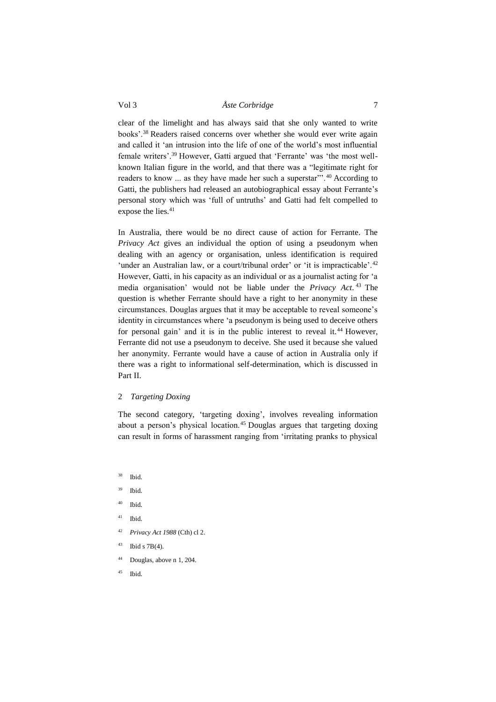clear of the limelight and has always said that she only wanted to write books'.<sup>38</sup> Readers raised concerns over whether she would ever write again and called it 'an intrusion into the life of one of the world's most influential female writers'.<sup>39</sup> However, Gatti argued that 'Ferrante' was 'the most wellknown Italian figure in the world, and that there was a "legitimate right for readers to know ... as they have made her such a superstar"'.<sup>40</sup> According to Gatti, the publishers had released an autobiographical essay about Ferrante's personal story which was 'full of untruths' and Gatti had felt compelled to expose the lies.<sup>41</sup>

In Australia, there would be no direct cause of action for Ferrante. The *Privacy Act* gives an individual the option of using a pseudonym when dealing with an agency or organisation, unless identification is required 'under an Australian law, or a court/tribunal order' or 'it is impracticable'.<sup>42</sup> However, Gatti, in his capacity as an individual or as a journalist acting for 'a media organisation' would not be liable under the *Privacy Act*. <sup>43</sup> The question is whether Ferrante should have a right to her anonymity in these circumstances. Douglas argues that it may be acceptable to reveal someone's identity in circumstances where 'a pseudonym is being used to deceive others for personal gain' and it is in the public interest to reveal it.<sup>44</sup> However, Ferrante did not use a pseudonym to deceive. She used it because she valued her anonymity. Ferrante would have a cause of action in Australia only if there was a right to informational self-determination, which is discussed in Part II.

## <span id="page-6-0"></span>2 *Targeting Doxing*

The second category, 'targeting doxing', involves revealing information about a person's physical location.<sup>45</sup> Douglas argues that targeting doxing can result in forms of harassment ranging from 'irritating pranks to physical

- <sup>38</sup> Ibid.
- <sup>39</sup> Ibid.
- <sup>40</sup> Ibid.
- $41$  Ibid.
- <sup>42</sup> *Privacy Act 1988* (Cth) cl 2.
- $43$  Ibid s 7B(4).
- <sup>44</sup> Douglas, above [n 1,](#page-1-1) 204.
- <sup>45</sup> Ibid.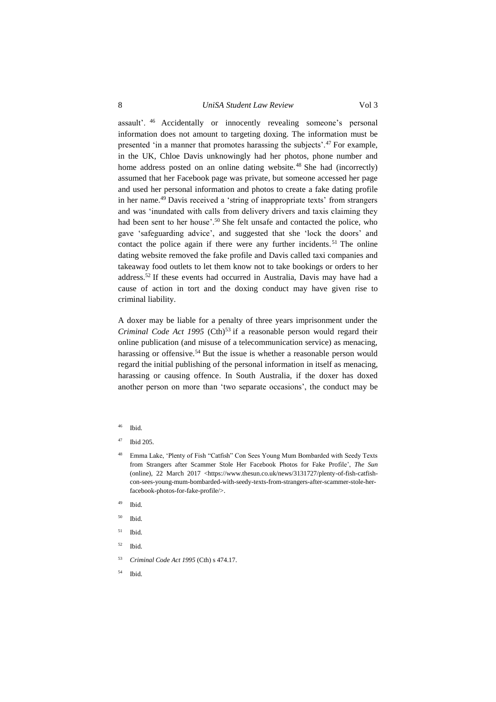## 8 *UniSA Student Law Review* Vol 3

assault'. <sup>46</sup> Accidentally or innocently revealing someone's personal information does not amount to targeting doxing. The information must be presented 'in a manner that promotes harassing the subjects'.<sup>47</sup> For example, in the UK, Chloe Davis unknowingly had her photos, phone number and home address posted on an online dating website.<sup>48</sup> She had (incorrectly) assumed that her Facebook page was private, but someone accessed her page and used her personal information and photos to create a fake dating profile in her name.<sup>49</sup> Davis received a 'string of inappropriate texts' from strangers and was 'inundated with calls from delivery drivers and taxis claiming they had been sent to her house'. <sup>50</sup> She felt unsafe and contacted the police, who gave 'safeguarding advice', and suggested that she 'lock the doors' and contact the police again if there were any further incidents. <sup>51</sup> The online dating website removed the fake profile and Davis called taxi companies and takeaway food outlets to let them know not to take bookings or orders to her address. <sup>52</sup> If these events had occurred in Australia, Davis may have had a cause of action in tort and the doxing conduct may have given rise to criminal liability.

A doxer may be liable for a penalty of three years imprisonment under the *Criminal Code Act 1995* (Cth) <sup>53</sup> if a reasonable person would regard their online publication (and misuse of a telecommunication service) as menacing, harassing or offensive.<sup>54</sup> But the issue is whether a reasonable person would regard the initial publishing of the personal information in itself as menacing, harassing or causing offence. In South Australia, if the doxer has doxed another person on more than 'two separate occasions', the conduct may be

- Ibid.
- <sup>47</sup> Ibid 205.
- <sup>48</sup> Emma Lake, 'Plenty of Fish "Catfish" Con Sees Young Mum Bombarded with Seedy Texts from Strangers after Scammer Stole Her Facebook Photos for Fake Profile', *The Sun* (online), 22 March 2017 <https://www.thesun.co.uk/news/3131727/plenty-of-fish-catfishcon-sees-young-mum-bombarded-with-seedy-texts-from-strangers-after-scammer-stole-herfacebook-photos-for-fake-profile/>.
- Ibid.
- <sup>50</sup> Ibid.
- <sup>51</sup> Ibid.
- $52$  Ibid.
- <sup>53</sup> *Criminal Code Act 1995* (Cth) s 474.17.
- <sup>54</sup> Ibid.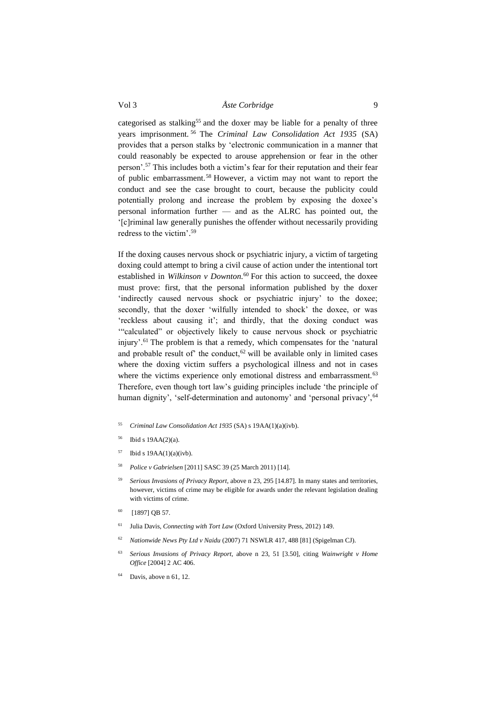categorised as stalking<sup>55</sup> and the doxer may be liable for a penalty of three years imprisonment. <sup>56</sup> The *Criminal Law Consolidation Act 1935* (SA) provides that a person stalks by 'electronic communication in a manner that could reasonably be expected to arouse apprehension or fear in the other person'.<sup>57</sup> This includes both a victim's fear for their reputation and their fear of public embarrassment.<sup>58</sup> However, a victim may not want to report the conduct and see the case brought to court, because the publicity could potentially prolong and increase the problem by exposing the doxee's personal information further — and as the ALRC has pointed out, the '[c]riminal law generally punishes the offender without necessarily providing redress to the victim'. 59

If the doxing causes nervous shock or psychiatric injury, a victim of targeting doxing could attempt to bring a civil cause of action under the intentional tort established in *Wilkinson v Downton.* <sup>60</sup> For this action to succeed, the doxee must prove: first, that the personal information published by the doxer 'indirectly caused nervous shock or psychiatric injury' to the doxee; secondly, that the doxer 'wilfully intended to shock' the doxee, or was 'reckless about causing it'; and thirdly, that the doxing conduct was '"calculated" or objectively likely to cause nervous shock or psychiatric injury'.<sup>61</sup> The problem is that a remedy, which compensates for the 'natural and probable result of the conduct,<sup>62</sup> will be available only in limited cases where the doxing victim suffers a psychological illness and not in cases where the victims experience only emotional distress and embarrassment.<sup>63</sup> Therefore, even though tort law's guiding principles include 'the principle of human dignity', 'self-determination and autonomy' and 'personal privacy', <sup>64</sup>

- <sup>55</sup> *Criminal Law Consolidation Act 1935* (SA) s 19AA(1)(a)(ivb).
- <sup>56</sup> Ibid s 19AA(2)(a).
- $57$  Ibid s 19AA(1)(a)(ivb).
- <sup>58</sup> *Police v Gabrielsen* [2011] SASC 39 (25 March 2011) [14].
- <sup>59</sup> *Serious Invasions of Privacy Report*, above n 23, 295 [14.87]. In many states and territories, however, victims of crime may be eligible for awards under the relevant legislation dealing with victims of crime.
- <sup>60</sup> [1897] QB 57.
- <sup>61</sup> Julia Davis, *Connecting with Tort Law* (Oxford University Press, 2012) 149.
- <sup>62</sup> *Nationwide News Pty Ltd v Naidu* (2007) 71 NSWLR 417, 488 [81] (Spigelman CJ).
- <sup>63</sup> *Serious Invasions of Privacy Report*, above n 23, 51 [3.50], citing *Wainwright v Home Office* [2004] 2 AC 406.
- Davis, above n 61, 12.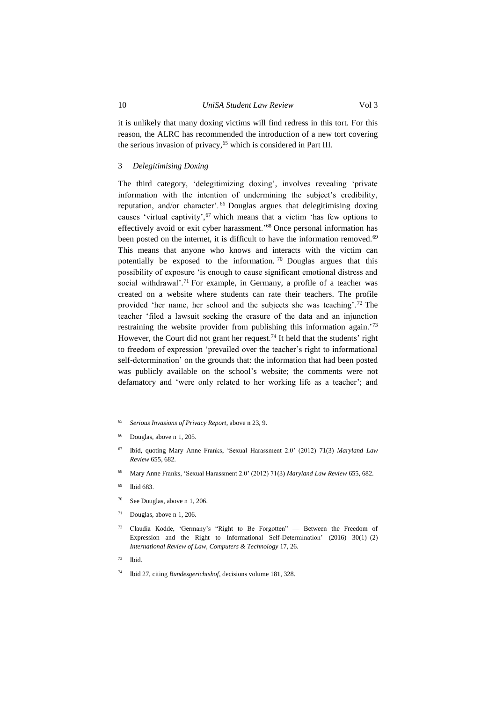it is unlikely that many doxing victims will find redress in this tort. For this reason, the ALRC has recommended the introduction of a new tort covering the serious invasion of privacy,<sup>65</sup> which is considered in Part III.

### <span id="page-9-0"></span>3 *Delegitimising Doxing*

The third category, 'delegitimizing doxing', involves revealing 'private information with the intention of undermining the subject's credibility, reputation, and/or character'. <sup>66</sup> Douglas argues that delegitimising doxing causes 'virtual captivity', $67$  which means that a victim 'has few options to effectively avoid or exit cyber harassment.'<sup>68</sup> Once personal information has been posted on the internet, it is difficult to have the information removed.<sup>69</sup> This means that anyone who knows and interacts with the victim can potentially be exposed to the information.  $\frac{70}{10}$  Douglas argues that this possibility of exposure 'is enough to cause significant emotional distress and social withdrawal'.<sup>71</sup> For example, in Germany, a profile of a teacher was created on a website where students can rate their teachers. The profile provided 'her name, her school and the subjects she was teaching'. <sup>72</sup> The teacher 'filed a lawsuit seeking the erasure of the data and an injunction restraining the website provider from publishing this information again.<sup>73</sup> However, the Court did not grant her request.<sup>74</sup> It held that the students' right to freedom of expression 'prevailed over the teacher's right to informational self-determination' on the grounds that: the information that had been posted was publicly available on the school's website; the comments were not defamatory and 'were only related to her working life as a teacher'; and

- <span id="page-9-1"></span><sup>65</sup> *Serious Invasions of Privacy Report*, above n 23, 9.
- Douglas, above [n 1,](#page-1-1) 205.
- <sup>67</sup> Ibid, quoting Mary Anne Franks, 'Sexual Harassment 2.0' (2012) 71(3) *Maryland Law Review* 655, 682.
- <sup>68</sup> Mary Anne Franks, 'Sexual Harassment 2.0' (2012) 71(3) *Maryland Law Review* 655, 682.
- <sup>69</sup> Ibid 683.
- <sup>70</sup> See Douglas, above [n 1,](#page-1-1) 206.
- <sup>71</sup> Douglas, above [n 1,](#page-1-1) 206.
- <sup>72</sup> Claudia Kodde, 'Germany's "Right to Be Forgotten" Between the Freedom of Expression and the Right to Informational Self-Determination'  $(2016)$  30(1)–(2) *International Review of Law, Computers & Technology* 17, 26.
- $73$  Ibid.
- <sup>74</sup> Ibid 27, citing *Bundesgerichtshof*, decisions volume 181, 328.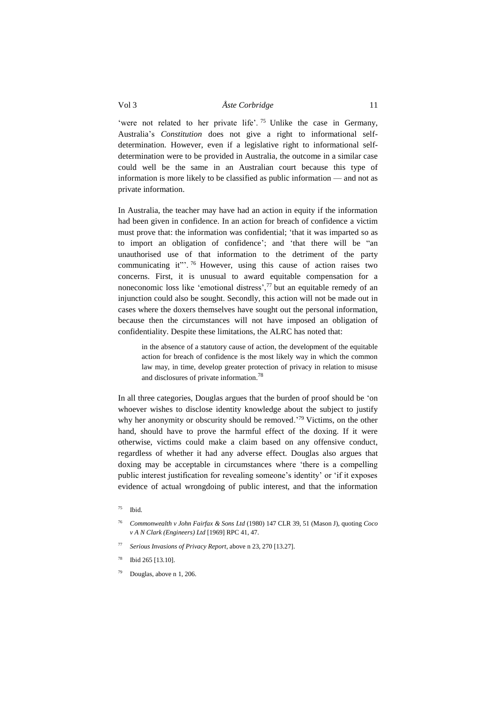'were not related to her private life'.<sup>75</sup> Unlike the case in Germany, Australia's *Constitution* does not give a right to informational selfdetermination. However, even if a legislative right to informational selfdetermination were to be provided in Australia, the outcome in a similar case could well be the same in an Australian court because this type of information is more likely to be classified as public information — and not as private information.

In Australia, the teacher may have had an action in equity if the information had been given in confidence. In an action for breach of confidence a victim must prove that: the information was confidential; 'that it was imparted so as to import an obligation of confidence'; and 'that there will be "an unauthorised use of that information to the detriment of the party communicating it"'.<sup>76</sup> However, using this cause of action raises two concerns. First, it is unusual to award equitable compensation for a noneconomic loss like 'emotional distress',<sup>77</sup> but an equitable remedy of an injunction could also be sought. Secondly, this action will not be made out in cases where the doxers themselves have sought out the personal information, because then the circumstances will not have imposed an obligation of confidentiality. Despite these limitations, the ALRC has noted that:

in the absence of a statutory cause of action, the development of the equitable action for breach of confidence is the most likely way in which the common law may, in time, develop greater protection of privacy in relation to misuse and disclosures of private information.<sup>78</sup>

In all three categories, Douglas argues that the burden of proof should be 'on whoever wishes to disclose identity knowledge about the subject to justify why her anonymity or obscurity should be removed.<sup>'79</sup> Victims, on the other hand, should have to prove the harmful effect of the doxing. If it were otherwise, victims could make a claim based on any offensive conduct, regardless of whether it had any adverse effect. Douglas also argues that doxing may be acceptable in circumstances where 'there is a compelling public interest justification for revealing someone's identity' or 'if it exposes evidence of actual wrongdoing of public interest, and that the information

- <sup>77</sup> *Serious Invasions of Privacy Report*, above n 23, 270 [13.27].
- <sup>78</sup> Ibid 265 [13.10].
- Douglas, above [n 1,](#page-1-1) 206.

 $75$  Ibid.

<sup>76</sup> *Commonwealth v John Fairfax & Sons Ltd* (1980) 147 CLR 39, 51 (Mason J), quoting *Coco v A N Clark (Engineers) Ltd* [1969] RPC 41, 47.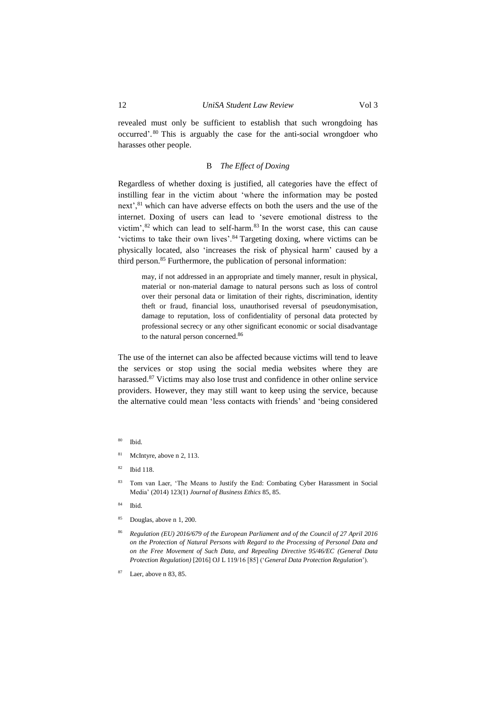revealed must only be sufficient to establish that such wrongdoing has occurred'. <sup>80</sup> This is arguably the case for the anti-social wrongdoer who harasses other people.

#### <span id="page-11-1"></span>B *The Effect of Doxing*

<span id="page-11-0"></span>Regardless of whether doxing is justified, all categories have the effect of instilling fear in the victim about 'where the information may be posted next',<sup>81</sup> which can have adverse effects on both the users and the use of the internet. Doxing of users can lead to 'severe emotional distress to the victim', $82$  which can lead to self-harm. $83$  In the worst case, this can cause 'victims to take their own lives'.<sup>84</sup> Targeting doxing, where victims can be physically located, also 'increases the risk of physical harm' caused by a third person.<sup>85</sup> Furthermore, the publication of personal information:

may, if not addressed in an appropriate and timely manner, result in physical, material or non-material damage to natural persons such as loss of control over their personal data or limitation of their rights, discrimination, identity theft or fraud, financial loss, unauthorised reversal of pseudonymisation, damage to reputation, loss of confidentiality of personal data protected by professional secrecy or any other significant economic or social disadvantage to the natural person concerned.<sup>86</sup>

The use of the internet can also be affected because victims will tend to leave the services or stop using the social media websites where they are harassed.<sup>87</sup> Victims may also lose trust and confidence in other online service providers. However, they may still want to keep using the service, because the alternative could mean 'less contacts with friends' and 'being considered

- <sup>81</sup> McIntyre, above n [2,](#page-1-2) 113.
- <sup>82</sup> Ibid 118.
- 83 Tom van Laer, 'The Means to Justify the End: Combating Cyber Harassment in Social Media' (2014) 123(1) *Journal of Business Ethics* 85, 85.
- <sup>84</sup> Ibid.
- <sup>85</sup> Douglas, above [n 1,](#page-1-1) 200.
- <sup>86</sup> *Regulation (EU) 2016/679 of the European Parliament and of the Council of 27 April 2016 on the Protection of Natural Persons with Regard to the Processing of Personal Data and on the Free Movement of Such Data, and Repealing Directive 95/46/EC (General Data Protection Regulation)* [2016] OJ L 119/16 [85] ('*General Data Protection Regulation*').
- <sup>87</sup> Laer, above [n 83,](#page-11-1) 85.

<sup>80</sup> Ibid.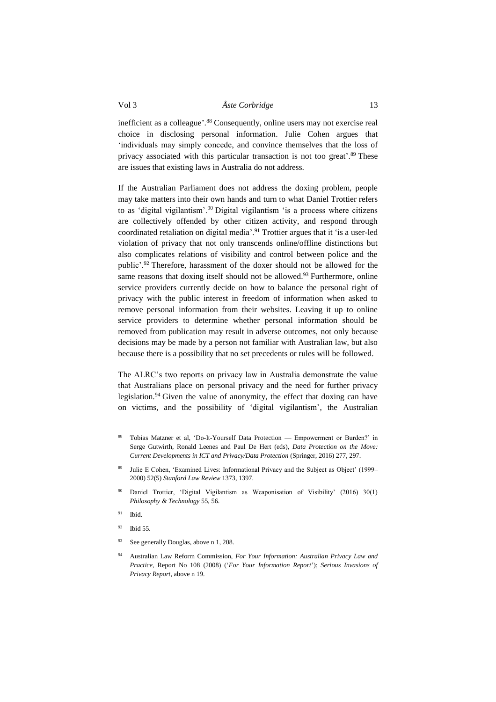inefficient as a colleague'. <sup>88</sup> Consequently, online users may not exercise real choice in disclosing personal information. Julie Cohen argues that 'individuals may simply concede, and convince themselves that the loss of privacy associated with this particular transaction is not too great'. <sup>89</sup> These are issues that existing laws in Australia do not address.

If the Australian Parliament does not address the doxing problem, people may take matters into their own hands and turn to what Daniel Trottier refers to as 'digital vigilantism'.<sup>90</sup> Digital vigilantism 'is a process where citizens are collectively offended by other citizen activity, and respond through coordinated retaliation on digital media'.<sup>91</sup> Trottier argues that it 'is a user-led violation of privacy that not only transcends online/offline distinctions but also complicates relations of visibility and control between police and the public'. <sup>92</sup> Therefore, harassment of the doxer should not be allowed for the same reasons that doxing itself should not be allowed.<sup>93</sup> Furthermore, online service providers currently decide on how to balance the personal right of privacy with the public interest in freedom of information when asked to remove personal information from their websites. Leaving it up to online service providers to determine whether personal information should be removed from publication may result in adverse outcomes, not only because decisions may be made by a person not familiar with Australian law, but also because there is a possibility that no set precedents or rules will be followed.

<span id="page-12-0"></span>The ALRC's two reports on privacy law in Australia demonstrate the value that Australians place on personal privacy and the need for further privacy legislation.<sup>94</sup> Given the value of anonymity, the effect that doxing can have on victims, and the possibility of 'digital vigilantism', the Australian

- <sup>88</sup> Tobias Matzner et al, 'Do-It-Yourself Data Protection Empowerment or Burden?' in Serge Gutwirth, Ronald Leenes and Paul De Hert (eds), *Data Protection on the Move: Current Developments in ICT and Privacy/Data Protection* (Springer, 2016) 277, 297.
- Julie E Cohen, 'Examined Lives: Informational Privacy and the Subject as Object' (1999– 2000) 52(5) *Stanford Law Review* 1373, 1397.
- <sup>90</sup> Daniel Trottier, 'Digital Vigilantism as Weaponisation of Visibility' (2016) 30(1) *Philosophy & Technology* 55, 56.
- <sup>91</sup> Ibid.
- <sup>92</sup> Ibid 55.
- <sup>93</sup> See generally Douglas, above n [1,](#page-1-1) 208.
- <sup>94</sup> Australian Law Reform Commission, *For Your Information: Australian Privacy Law and Practice*, Report No 108 (2008) ('*For Your Information Report*'); *Serious Invasions of Privacy Report*, above n 19.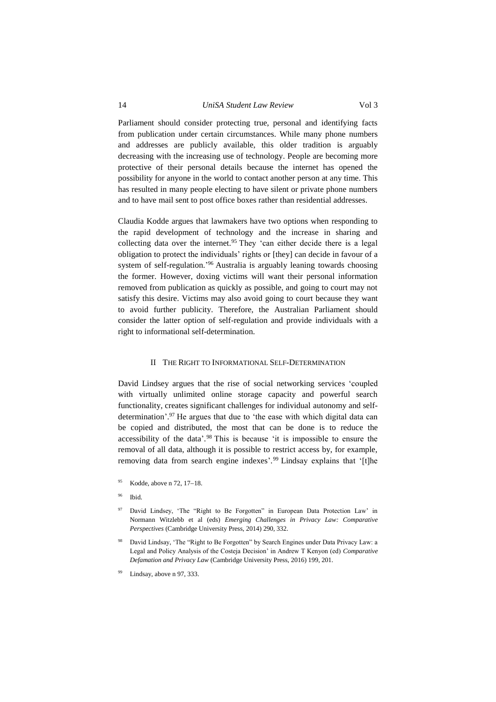Parliament should consider protecting true, personal and identifying facts from publication under certain circumstances. While many phone numbers

and addresses are publicly available, this older tradition is arguably decreasing with the increasing use of technology. People are becoming more protective of their personal details because the internet has opened the possibility for anyone in the world to contact another person at any time. This has resulted in many people electing to have silent or private phone numbers and to have mail sent to post office boxes rather than residential addresses.

Claudia Kodde argues that lawmakers have two options when responding to the rapid development of technology and the increase in sharing and collecting data over the internet.<sup>95</sup> They 'can either decide there is a legal obligation to protect the individuals' rights or [they] can decide in favour of a system of self-regulation.<sup>'96</sup> Australia is arguably leaning towards choosing the former. However, doxing victims will want their personal information removed from publication as quickly as possible, and going to court may not satisfy this desire. Victims may also avoid going to court because they want to avoid further publicity. Therefore, the Australian Parliament should consider the latter option of self-regulation and provide individuals with a right to informational self-determination.

#### <span id="page-13-2"></span><span id="page-13-1"></span>II THE RIGHT TO INFORMATIONAL SELF-DETERMINATION

<span id="page-13-0"></span>David Lindsey argues that the rise of social networking services 'coupled with virtually unlimited online storage capacity and powerful search functionality, creates significant challenges for individual autonomy and selfdetermination'. <sup>97</sup> He argues that due to 'the ease with which digital data can be copied and distributed, the most that can be done is to reduce the accessibility of the data'. <sup>98</sup> This is because 'it is impossible to ensure the removal of all data, although it is possible to restrict access by, for example, removing data from search engine indexes'. <sup>99</sup> Lindsay explains that '[t]he

- Kodde, above n  $72, 17-18$ .
- <sup>96</sup> Ibid.
- <sup>97</sup> David Lindsey, 'The "Right to Be Forgotten" in European Data Protection Law' in Normann Witzlebb et al (eds) *Emerging Challenges in Privacy Law: Comparative Perspectives* (Cambridge University Press, 2014) 290, 332.
- David Lindsay, 'The "Right to Be Forgotten" by Search Engines under Data Privacy Law: a Legal and Policy Analysis of the Costeja Decision' in Andrew T Kenyon (ed) *Comparative Defamation and Privacy Law* (Cambridge University Press, 2016) 199, 201.
- Lindsay, above n [97,](#page-13-1) 333.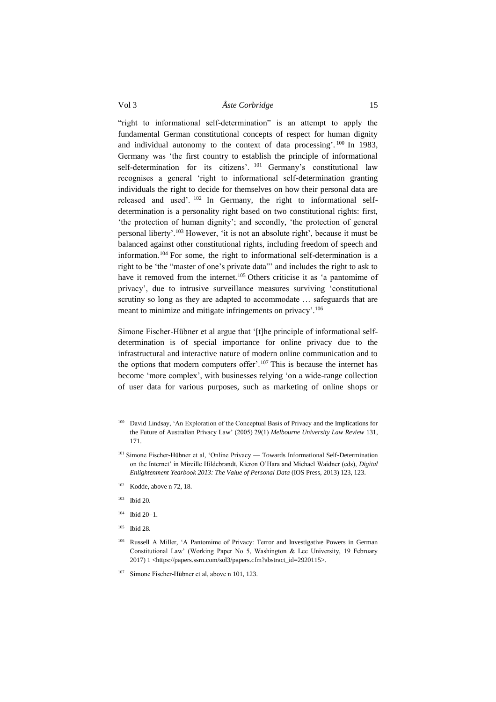<span id="page-14-0"></span>"right to informational self-determination" is an attempt to apply the fundamental German constitutional concepts of respect for human dignity and individual autonomy to the context of data processing'.<sup>100</sup> In 1983, Germany was 'the first country to establish the principle of informational self-determination for its citizens'. <sup>101</sup> Germany's constitutional law recognises a general 'right to informational self-determination granting individuals the right to decide for themselves on how their personal data are released and used'. <sup>102</sup> In Germany, the right to informational selfdetermination is a personality right based on two constitutional rights: first, 'the protection of human dignity'; and secondly, 'the protection of general personal liberty'.<sup>103</sup> However, 'it is not an absolute right', because it must be balanced against other constitutional rights, including freedom of speech and information.<sup>104</sup> For some, the right to informational self-determination is a right to be 'the "master of one's private data"' and includes the right to ask to have it removed from the internet.<sup>105</sup> Others criticise it as 'a pantomime of privacy', due to intrusive surveillance measures surviving 'constitutional scrutiny so long as they are adapted to accommodate … safeguards that are meant to minimize and mitigate infringements on privacy'.<sup>106</sup>

Simone Fischer-Hübner et al argue that '[t]he principle of informational selfdetermination is of special importance for online privacy due to the infrastructural and interactive nature of modern online communication and to the options that modern computers offer'.<sup>107</sup> This is because the internet has become 'more complex', with businesses relying 'on a wide-range collection of user data for various purposes, such as marketing of online shops or

- <sup>100</sup> David Lindsay, 'An Exploration of the Conceptual Basis of Privacy and the Implications for the Future of Australian Privacy Law' (2005) 29(1) *Melbourne University Law Review* 131, 171.
- <sup>101</sup> Simone Fischer-Hübner et al, 'Online Privacy Towards Informational Self-Determination on the Internet' in Mireille Hildebrandt, Kieron O'Hara and Michael Waidner (eds), *Digital Enlightenment Yearbook 2013: The Value of Personal Data* (IOS Press, 2013) 123, 123.
- <sup>102</sup> Kodde, above [n 72,](#page-9-1) 18.
- <sup>103</sup> Ibid 20.
- $104$  Ibid 20-1.
- <sup>105</sup> Ibid 28.
- <sup>106</sup> Russell A Miller, 'A Pantomime of Privacy: Terror and Investigative Powers in German Constitutional Law' (Working Paper No 5, Washington & Lee University, 19 February 2017) 1 <https://papers.ssrn.com/sol3/papers.cfm?abstract\_id=2920115>.
- <sup>107</sup> Simone Fischer-Hübner et al, above n 101, 123.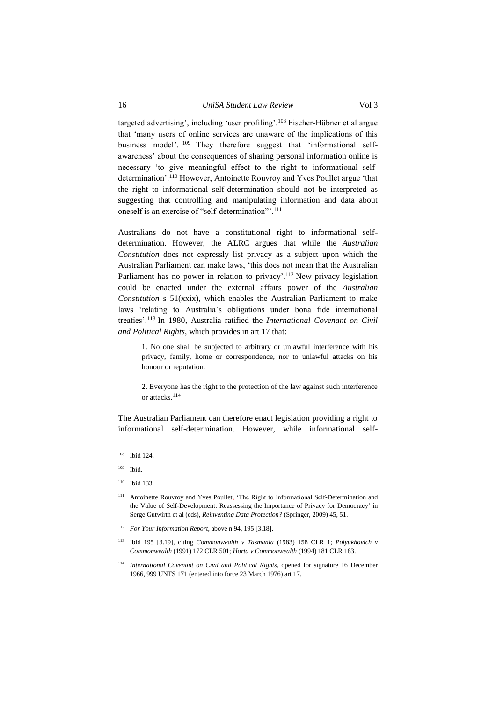targeted advertising', including 'user profiling'.<sup>108</sup> Fischer-Hübner et al argue that 'many users of online services are unaware of the implications of this business model'. <sup>109</sup> They therefore suggest that 'informational selfawareness' about the consequences of sharing personal information online is necessary 'to give meaningful effect to the right to informational selfdetermination'.<sup>110</sup> However, Antoinette Rouvroy and Yves Poullet argue 'that the right to informational self-determination should not be interpreted as suggesting that controlling and manipulating information and data about oneself is an exercise of "self-determination".<sup>111</sup>

Australians do not have a constitutional right to informational selfdetermination. However, the ALRC argues that while the *Australian Constitution* does not expressly list privacy as a subject upon which the Australian Parliament can make laws, 'this does not mean that the Australian Parliament has no power in relation to privacy'.<sup>112</sup> New privacy legislation could be enacted under the external affairs power of the *Australian Constitution* s 51(xxix), which enables the Australian Parliament to make laws 'relating to Australia's obligations under bona fide international treaties'.<sup>113</sup> In 1980, Australia ratified the *International Covenant on Civil and Political Rights*, which provides in art 17 that:

1. No one shall be subjected to arbitrary or unlawful interference with his privacy, family, home or correspondence, nor to unlawful attacks on his honour or reputation.

2. Everyone has the right to the protection of the law against such interference or attacks. 114

The Australian Parliament can therefore enact legislation providing a right to informational self-determination. However, while informational self-

- <sup>108</sup> Ibid 124.
- <sup>109</sup> Ibid.
- <sup>110</sup> Ibid 133.
- <sup>111</sup> Antoinette Rouvroy and Yves Poullet, 'The Right to Informational Self-Determination and the Value of Self-Development: Reassessing the Importance of Privacy for Democracy' in Serge Gutwirth et al (eds), *Reinventing Data Protection?* (Springer, 2009) 45, 51.
- <sup>112</sup> *For Your Information Report*, above n 94, 195 [3.18].
- <sup>113</sup> Ibid 195 [3.19], citing *Commonwealth v Tasmania* (1983) 158 CLR 1; *Polyukhovich v Commonwealth* (1991) 172 CLR 501; *Horta v Commonwealth* (1994) 181 CLR 183.
- <sup>114</sup> *International Covenant on Civil and Political Rights*, opened for signature 16 December 1966, 999 UNTS 171 (entered into force 23 March 1976) art 17.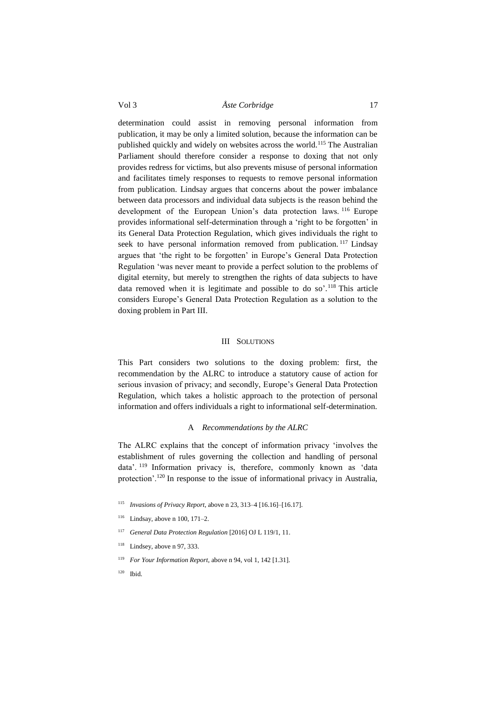determination could assist in removing personal information from publication, it may be only a limited solution, because the information can be published quickly and widely on websites across the world.<sup>115</sup> The Australian Parliament should therefore consider a response to doxing that not only provides redress for victims, but also prevents misuse of personal information and facilitates timely responses to requests to remove personal information from publication. Lindsay argues that concerns about the power imbalance between data processors and individual data subjects is the reason behind the development of the European Union's data protection laws. <sup>116</sup> Europe provides informational self-determination through a 'right to be forgotten' in its General Data Protection Regulation, which gives individuals the right to seek to have personal information removed from publication.<sup>117</sup> Lindsay argues that 'the right to be forgotten' in Europe's General Data Protection Regulation 'was never meant to provide a perfect solution to the problems of digital eternity, but merely to strengthen the rights of data subjects to have data removed when it is legitimate and possible to do so'.<sup>118</sup> This article considers Europe's General Data Protection Regulation as a solution to the doxing problem in Part III.

## III SOLUTIONS

<span id="page-16-0"></span>This Part considers two solutions to the doxing problem: first, the recommendation by the ALRC to introduce a statutory cause of action for serious invasion of privacy; and secondly, Europe's General Data Protection Regulation, which takes a holistic approach to the protection of personal information and offers individuals a right to informational self-determination.

#### A *Recommendations by the ALRC*

<span id="page-16-1"></span>The ALRC explains that the concept of information privacy 'involves the establishment of rules governing the collection and handling of personal data'. <sup>119</sup> Information privacy is, therefore, commonly known as 'data protection'.<sup>120</sup> In response to the issue of informational privacy in Australia,

- <sup>115</sup> *Invasions of Privacy Report*, above n 23, 313–4 [16.16]–[16.17].
- $116$  Lindsay, above n [100,](#page-14-0) 171–2.
- <sup>117</sup> *General Data Protection Regulation* [2016] OJ L 119/1, 11.
- $118$  Lindsey, above n [97,](#page-13-1) 333.
- <sup>119</sup> *For Your Information Report*, above n 94, vol 1, 142 [1.31].
- <sup>120</sup> Ibid.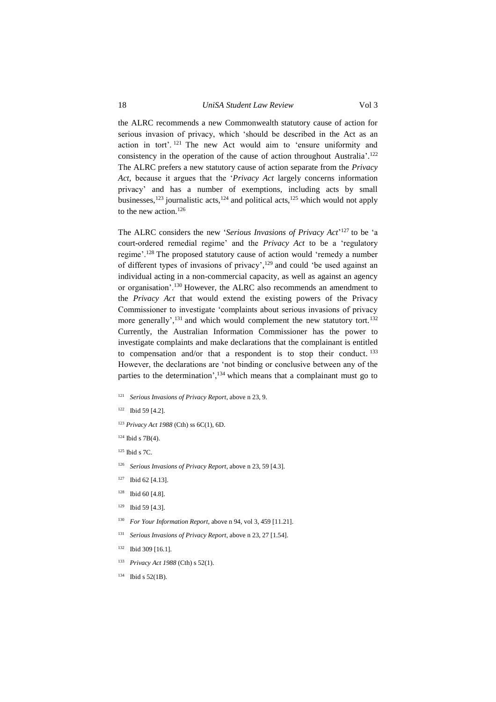## 18 *UniSA Student Law Review* Vol 3

the ALRC recommends a new Commonwealth statutory cause of action for serious invasion of privacy, which 'should be described in the Act as an action in tort'. <sup>121</sup> The new Act would aim to 'ensure uniformity and consistency in the operation of the cause of action throughout Australia'. 122 The ALRC prefers a new statutory cause of action separate from the *Privacy Act,* because it argues that the '*Privacy Act* largely concerns information privacy' and has a number of exemptions, including acts by small businesses,<sup>123</sup> journalistic acts,<sup>124</sup> and political acts,<sup>125</sup> which would not apply to the new action.<sup>126</sup>

The ALRC considers the new '*Serious Invasions of Privacy Act*' <sup>127</sup> to be 'a court-ordered remedial regime' and the *Privacy Act* to be a 'regulatory regime'.<sup>128</sup> The proposed statutory cause of action would 'remedy a number of different types of invasions of privacy', <sup>129</sup> and could 'be used against an individual acting in a non-commercial capacity, as well as against an agency or organisation'.<sup>130</sup> However, the ALRC also recommends an amendment to the *Privacy Act* that would extend the existing powers of the Privacy Commissioner to investigate 'complaints about serious invasions of privacy more generally',<sup>131</sup> and which would complement the new statutory tort.<sup>132</sup> Currently, the Australian Information Commissioner has the power to investigate complaints and make declarations that the complainant is entitled to compensation and/or that a respondent is to stop their conduct.<sup>133</sup> However, the declarations are 'not binding or conclusive between any of the parties to the determination', $134$  which means that a complainant must go to

- <sup>121</sup> *Serious Invasions of Privacy Report*, above n 23, 9.
- <sup>122</sup> Ibid 59 [4.2].
- <sup>123</sup> *Privacy Act 1988* (Cth) ss 6C(1), 6D.
- $124$  Ibid s 7B(4).
- <sup>125</sup> Ibid s 7C.
- <sup>126</sup> *Serious Invasions of Privacy Report*, above n 23, 59 [4.3].
- <sup>127</sup> Ibid 62 [4.13].
- $128$  Ibid 60 [4.8].
- $129$  Ibid 59 [4.3].
- <sup>130</sup> *For Your Information Report*, above [n 94,](#page-12-0) vol 3, 459 [11.21].
- <sup>131</sup> *Serious Invasions of Privacy Report*, above [n 23,](#page-4-0) 27 [1.54].
- <sup>132</sup> Ibid 309 [16.1].
- <sup>133</sup> *Privacy Act 1988* (Cth) s 52(1).
- $134$  Ibid s 52(1B).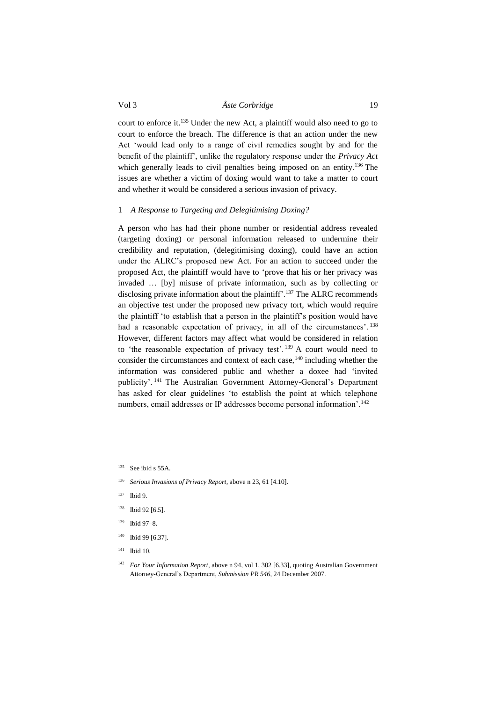court to enforce it.<sup>135</sup> Under the new Act, a plaintiff would also need to go to court to enforce the breach. The difference is that an action under the new Act 'would lead only to a range of civil remedies sought by and for the benefit of the plaintiff', unlike the regulatory response under the *Privacy Act* which generally leads to civil penalties being imposed on an entity.<sup>136</sup> The issues are whether a victim of doxing would want to take a matter to court and whether it would be considered a serious invasion of privacy.

#### <span id="page-18-0"></span>1 *A Response to Targeting and Delegitimising Doxing?*

A person who has had their phone number or residential address revealed (targeting doxing) or personal information released to undermine their credibility and reputation, (delegitimising doxing), could have an action under the ALRC's proposed new Act. For an action to succeed under the proposed Act, the plaintiff would have to 'prove that his or her privacy was invaded … [by] misuse of private information, such as by collecting or disclosing private information about the plaintiff'.<sup>137</sup> The ALRC recommends an objective test under the proposed new privacy tort, which would require the plaintiff 'to establish that a person in the plaintiff's position would have had a reasonable expectation of privacy, in all of the circumstances'.<sup>138</sup> However, different factors may affect what would be considered in relation to 'the reasonable expectation of privacy test'. <sup>139</sup> A court would need to consider the circumstances and context of each case,<sup>140</sup> including whether the information was considered public and whether a doxee had 'invited publicity'. <sup>141</sup> The Australian Government Attorney-General's Department has asked for clear guidelines 'to establish the point at which telephone numbers, email addresses or IP addresses become personal information'.<sup>142</sup>

<sup>135</sup> See ibid s 55A.

- <sup>136</sup> *Serious Invasions of Privacy Report*, above [n 23,](#page-4-0) 61 [4.10].
- <sup>137</sup> Ibid 9.
- <sup>138</sup> Ibid 92 [6.5].
- <sup>139</sup> Ibid 97–8.
- <sup>140</sup> Ibid 99 [6.37].
- <sup>141</sup> Ibid 10.

<sup>142</sup> *For Your Information Report*, above n [94,](#page-12-0) vol 1, 302 [6.33], quoting Australian Government Attorney-General's Department, *Submission PR 546*, 24 December 2007.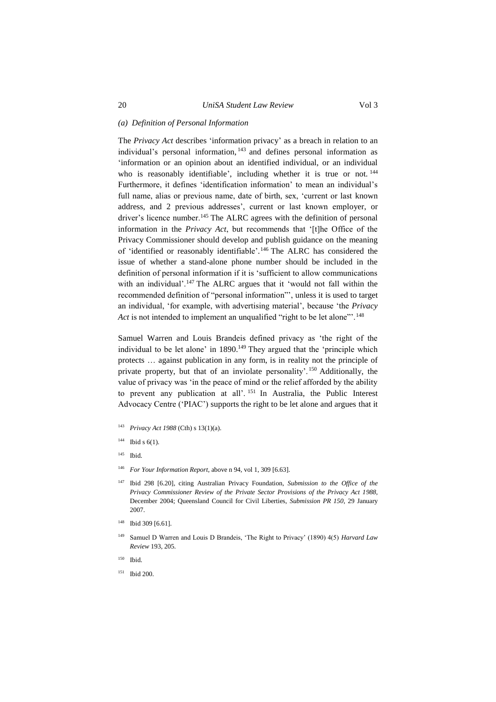#### *(a) Definition of Personal Information*

The *Privacy Act* describes 'information privacy' as a breach in relation to an individual's personal information, <sup>143</sup> and defines personal information as 'information or an opinion about an identified individual, or an individual who is reasonably identifiable', including whether it is true or not.<sup>144</sup> Furthermore, it defines 'identification information' to mean an individual's full name, alias or previous name, date of birth, sex, 'current or last known address, and 2 previous addresses', current or last known employer, or driver's licence number.<sup>145</sup> The ALRC agrees with the definition of personal information in the *Privacy Act*, but recommends that '[t]he Office of the Privacy Commissioner should develop and publish guidance on the meaning of 'identified or reasonably identifiable'. <sup>146</sup> The ALRC has considered the issue of whether a stand-alone phone number should be included in the definition of personal information if it is 'sufficient to allow communications with an individual'.<sup>147</sup> The ALRC argues that it 'would not fall within the recommended definition of "personal information"', unless it is used to target an individual, 'for example, with advertising material', because 'the *Privacy Act* is not intended to implement an unqualified "right to be let alone"<sup>148</sup>

Samuel Warren and Louis Brandeis defined privacy as 'the right of the individual to be let alone' in 1890. <sup>149</sup> They argued that the 'principle which protects … against publication in any form, is in reality not the principle of private property, but that of an inviolate personality'. <sup>150</sup> Additionally, the value of privacy was 'in the peace of mind or the relief afforded by the ability to prevent any publication at all'. <sup>151</sup> In Australia, the Public Interest Advocacy Centre ('PIAC') supports the right to be let alone and argues that it

- <sup>143</sup> *Privacy Act 1988* (Cth) s 13(1)(a).
- $144$  Ibid s 6(1).
- <sup>145</sup> Ibid.
- <sup>146</sup> *For Your Information Report*, above [n 94,](#page-12-0) vol 1, 309 [6.63].
- <sup>147</sup> Ibid 298 [6.20], citing Australian Privacy Foundation, *Submission to the Office of the Privacy Commissioner Review of the Private Sector Provisions of the Privacy Act 1988*, December 2004; Queensland Council for Civil Liberties, *Submission PR 150*, 29 January 2007.
- <sup>148</sup> Ibid 309 [6.61].
- Samuel D Warren and Louis D Brandeis, 'The Right to Privacy' (1890) 4(5) *Harvard Law Review* 193, 205.
- <sup>150</sup> Ibid.
- <sup>151</sup> Ibid 200.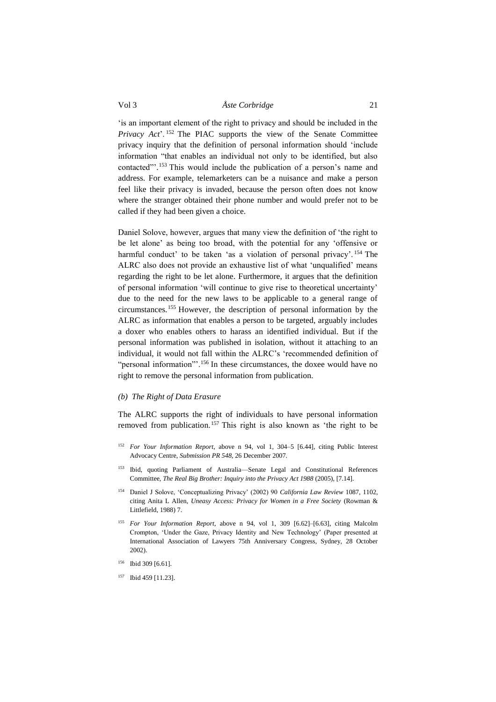'is an important element of the right to privacy and should be included in the *Privacy Act*'. <sup>152</sup> The PIAC supports the view of the Senate Committee privacy inquiry that the definition of personal information should 'include information "that enables an individual not only to be identified, but also contacted"'. <sup>153</sup> This would include the publication of a person's name and address. For example, telemarketers can be a nuisance and make a person feel like their privacy is invaded, because the person often does not know where the stranger obtained their phone number and would prefer not to be called if they had been given a choice.

Daniel Solove, however, argues that many view the definition of 'the right to be let alone' as being too broad, with the potential for any 'offensive or harmful conduct' to be taken 'as a violation of personal privacy'. <sup>154</sup> The ALRC also does not provide an exhaustive list of what 'unqualified' means regarding the right to be let alone. Furthermore, it argues that the definition of personal information 'will continue to give rise to theoretical uncertainty' due to the need for the new laws to be applicable to a general range of circumstances.<sup>155</sup> However, the description of personal information by the ALRC as information that enables a person to be targeted, arguably includes a doxer who enables others to harass an identified individual. But if the personal information was published in isolation, without it attaching to an individual, it would not fall within the ALRC's 'recommended definition of "personal information"'.<sup>156</sup> In these circumstances, the doxee would have no right to remove the personal information from publication.

#### *(b) The Right of Data Erasure*

The ALRC supports the right of individuals to have personal information removed from publication.<sup>157</sup> This right is also known as 'the right to be

- <sup>152</sup> *For Your Information Report*, above n [94,](#page-12-0) vol 1, 304–5 [6.44], citing Public Interest Advocacy Centre, *Submission PR 548*, 26 December 2007.
- <sup>153</sup> Ibid, quoting Parliament of Australia—Senate Legal and Constitutional References Committee, *The Real Big Brother: Inquiry into the Privacy Act 1988* (2005), [7.14].
- <sup>154</sup> Daniel J Solove, 'Conceptualizing Privacy' (2002) 90 *California Law Review* 1087, 1102, citing Anita L Allen, *Uneasy Access: Privacy for Women in a Free Society* (Rowman & Littlefield, 1988) 7.
- <sup>155</sup> *For Your Information Report*, above n [94,](#page-12-0) vol 1, 309 [6.62]–[6.63], citing Malcolm Crompton, 'Under the Gaze, Privacy Identity and New Technology' (Paper presented at International Association of Lawyers 75th Anniversary Congress, Sydney, 28 October 2002).
- <sup>156</sup> Ibid 309 [6.61].
- <sup>157</sup> Ibid 459 [11.23].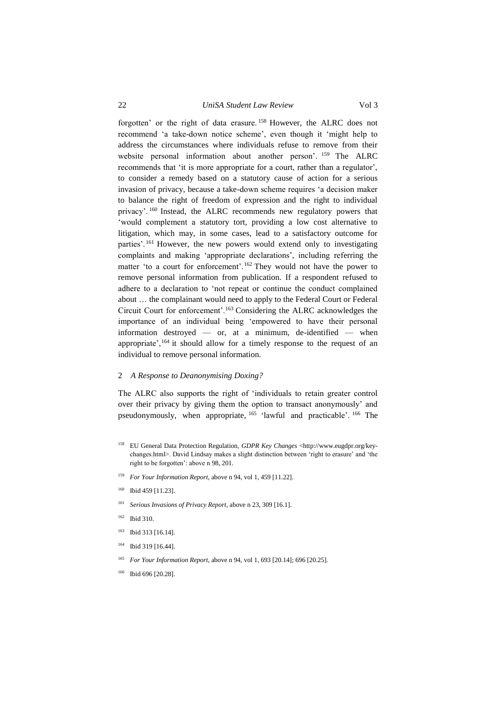22 *UniSA Student Law Review* Vol 3

forgotten' or the right of data erasure. <sup>158</sup> However, the ALRC does not recommend 'a take-down notice scheme', even though it 'might help to address the circumstances where individuals refuse to remove from their website personal information about another person'. <sup>159</sup> The ALRC recommends that 'it is more appropriate for a court, rather than a regulator', to consider a remedy based on a statutory cause of action for a serious

invasion of privacy, because a take-down scheme requires 'a decision maker to balance the right of freedom of expression and the right to individual privacy'. <sup>160</sup> Instead, the ALRC recommends new regulatory powers that 'would complement a statutory tort, providing a low cost alternative to litigation, which may, in some cases, lead to a satisfactory outcome for parties'. <sup>161</sup> However, the new powers would extend only to investigating complaints and making 'appropriate declarations', including referring the matter 'to a court for enforcement'.<sup>162</sup> They would not have the power to remove personal information from publication. If a respondent refused to adhere to a declaration to 'not repeat or continue the conduct complained about … the complainant would need to apply to the Federal Court or Federal Circuit Court for enforcement'.<sup>163</sup> Considering the ALRC acknowledges the importance of an individual being 'empowered to have their personal information destroyed — or, at a minimum, de-identified — when appropriate',  $164$  it should allow for a timely response to the request of an individual to remove personal information.

#### <span id="page-21-0"></span>2 *A Response to Deanonymising Doxing?*

The ALRC also supports the right of 'individuals to retain greater control over their privacy by giving them the option to transact anonymously' and pseudonymously, when appropriate, <sup>165</sup> 'lawful and practicable'. <sup>166</sup> The

- <sup>159</sup> *For Your Information Report*, above [n 94,](#page-12-0) vol 1, 459 [11.22].
- 160 Ibid 459 [11.23].
- <sup>161</sup> *Serious Invasions of Privacy Report*, above n 23, 309 [16.1].
- <sup>162</sup> Ibid 310.
- <sup>163</sup> Ibid 313 [16.14].
- <sup>164</sup> Ibid 319 [16.44].
- <sup>165</sup> *For Your Information Report*, above [n 94,](#page-12-0) vol 1, 693 [20.14]; 696 [20.25].
- <sup>166</sup> Ibid 696 [20.28].

<sup>158</sup> EU General Data Protection Regulation, *GDPR Key Changes* <http://www.eugdpr.org/keychanges.html>. David Lindsay makes a slight distinction between 'right to erasure' and 'the right to be forgotten': above [n 98,](#page-13-2) 201.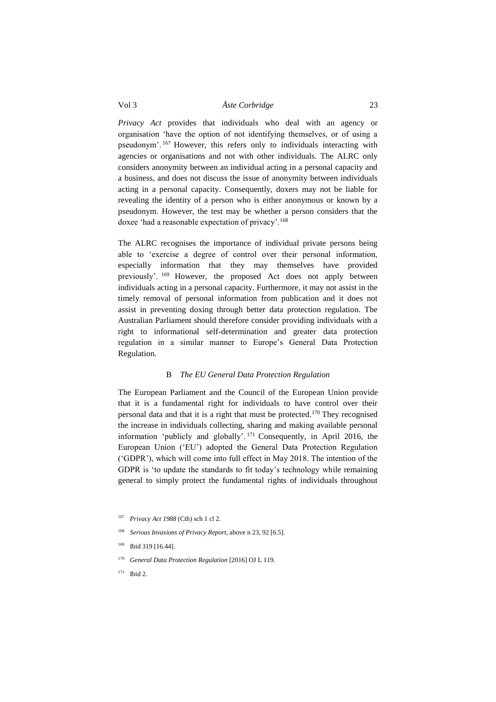*Privacy Act* provides that individuals who deal with an agency or organisation 'have the option of not identifying themselves, or of using a pseudonym'. <sup>167</sup> However, this refers only to individuals interacting with agencies or organisations and not with other individuals. The ALRC only considers anonymity between an individual acting in a personal capacity and a business, and does not discuss the issue of anonymity between individuals acting in a personal capacity. Consequently, doxers may not be liable for revealing the identity of a person who is either anonymous or known by a pseudonym. However, the test may be whether a person considers that the doxee 'had a reasonable expectation of privacy'.<sup>168</sup>

The ALRC recognises the importance of individual private persons being able to 'exercise a degree of control over their personal information, especially information that they may themselves have provided previously'. <sup>169</sup> However, the proposed Act does not apply between individuals acting in a personal capacity. Furthermore, it may not assist in the timely removal of personal information from publication and it does not assist in preventing doxing through better data protection regulation. The Australian Parliament should therefore consider providing individuals with a right to informational self-determination and greater data protection regulation in a similar manner to Europe's General Data Protection Regulation.

## B *The EU General Data Protection Regulation*

<span id="page-22-0"></span>The European Parliament and the Council of the European Union provide that it is a fundamental right for individuals to have control over their personal data and that it is a right that must be protected.<sup>170</sup> They recognised the increase in individuals collecting, sharing and making available personal information 'publicly and globally'. <sup>171</sup> Consequently, in April 2016, the European Union ('EU') adopted the General Data Protection Regulation ('GDPR'), which will come into full effect in May 2018. The intention of the GDPR is 'to update the standards to fit today's technology while remaining general to simply protect the fundamental rights of individuals throughout

<sup>167</sup> *Privacy Act 1988* (Cth) sch 1 cl 2.

<sup>168</sup> *Serious Invasions of Privacy Report*, above n 23, 92 [6.5].

<sup>169</sup> Ibid 319 [16.44].

<sup>170</sup> *General Data Protection Regulation* [2016] OJ L 119.

<sup>171</sup> Ibid 2.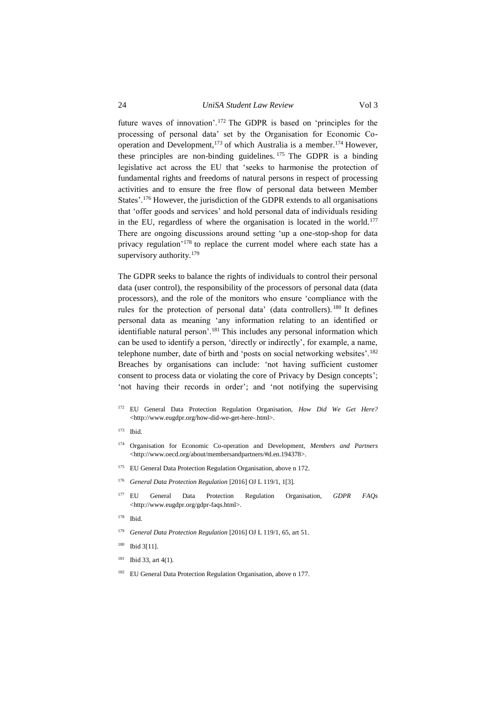<span id="page-23-0"></span>future waves of innovation'.<sup>172</sup> The GDPR is based on 'principles for the processing of personal data' set by the Organisation for Economic Cooperation and Development,<sup>173</sup> of which Australia is a member.<sup>174</sup> However, these principles are non-binding guidelines. <sup>175</sup> The GDPR is a binding legislative act across the EU that 'seeks to harmonise the protection of fundamental rights and freedoms of natural persons in respect of processing activities and to ensure the free flow of personal data between Member States'.<sup>176</sup> However, the jurisdiction of the GDPR extends to all organisations that 'offer goods and services' and hold personal data of individuals residing in the EU, regardless of where the organisation is located in the world.<sup>177</sup> There are ongoing discussions around setting 'up a one-stop-shop for data privacy regulation<sup>'178</sup> to replace the current model where each state has a supervisory authority.<sup>179</sup>

<span id="page-23-1"></span>The GDPR seeks to balance the rights of individuals to control their personal data (user control), the responsibility of the processors of personal data (data processors), and the role of the monitors who ensure 'compliance with the rules for the protection of personal data' (data controllers). <sup>180</sup> It defines personal data as meaning 'any information relating to an identified or identifiable natural person'.<sup>181</sup> This includes any personal information which can be used to identify a person, 'directly or indirectly', for example, a name, telephone number, date of birth and 'posts on social networking websites'.<sup>182</sup> Breaches by organisations can include: 'not having sufficient customer consent to process data or violating the core of Privacy by Design concepts'; 'not having their records in order'; and 'not notifying the supervising

- <sup>172</sup> EU General Data Protection Regulation Organisation, *How Did We Get Here?* <http://www.eugdpr.org/how-did-we-get-here-.html>.
- <sup>173</sup> Ibid.
- <sup>174</sup> Organisation for Economic Co-operation and Development, *Members and Partners* <http://www.oecd.org/about/membersandpartners/#d.en.194378>.
- <sup>175</sup> EU General Data Protection Regulation Organisation, above [n 172.](#page-23-0)
- <sup>176</sup> *General Data Protection Regulation* [2016] OJ L 119/1, 1[3].
- <sup>177</sup> EU General Data Protection Regulation Organisation, *GDPR FAQs* <http://www.eugdpr.org/gdpr-faqs.html>.
- <sup>178</sup> Ibid.
- <sup>179</sup> *General Data Protection Regulation* [2016] OJ L 119/1, 65, art 51.
- <sup>180</sup> Ibid 3[11].
- $181$  Ibid 33, art 4(1).
- <sup>182</sup> EU General Data Protection Regulation Organisation, above [n 177.](#page-23-1)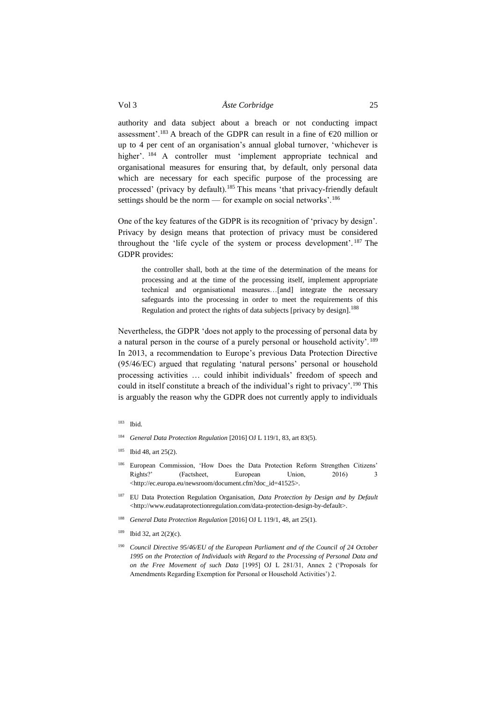authority and data subject about a breach or not conducting impact assessment'.<sup>183</sup> A breach of the GDPR can result in a fine of  $\epsilon$ 20 million or up to 4 per cent of an organisation's annual global turnover, 'whichever is higher'. <sup>184</sup> A controller must 'implement appropriate technical and organisational measures for ensuring that, by default, only personal data which are necessary for each specific purpose of the processing are processed' (privacy by default).<sup>185</sup> This means 'that privacy-friendly default settings should be the norm — for example on social networks'.<sup>186</sup>

One of the key features of the GDPR is its recognition of 'privacy by design'. Privacy by design means that protection of privacy must be considered throughout the 'life cycle of the system or process development'. <sup>187</sup> The GDPR provides:

the controller shall, both at the time of the determination of the means for processing and at the time of the processing itself, implement appropriate technical and organisational measures…[and] integrate the necessary safeguards into the processing in order to meet the requirements of this Regulation and protect the rights of data subjects [privacy by design].<sup>188</sup>

Nevertheless, the GDPR 'does not apply to the processing of personal data by a natural person in the course of a purely personal or household activity'.<sup>189</sup> In 2013, a recommendation to Europe's previous Data Protection Directive (95/46/EC) argued that regulating 'natural persons' personal or household processing activities … could inhibit individuals' freedom of speech and could in itself constitute a breach of the individual's right to privacy'.<sup>190</sup> This is arguably the reason why the GDPR does not currently apply to individuals

- <sup>184</sup> *General Data Protection Regulation* [2016] OJ L 119/1, 83, art 83(5).
- <sup>185</sup> Ibid 48, art 25(2).
- <sup>186</sup> European Commission, 'How Does the Data Protection Reform Strengthen Citizens' Rights?' (Factsheet, European Union, 2016) 3 <http://ec.europa.eu/newsroom/document.cfm?doc\_id=41525>.
- <sup>187</sup> EU Data Protection Regulation Organisation, *Data Protection by Design and by Default*  <http://www.eudataprotectionregulation.com/data-protection-design-by-default>.
- <sup>188</sup> *General Data Protection Regulation* [2016] OJ L 119/1, 48, art 25(1).
- <sup>189</sup> Ibid 32, art  $2(2)(c)$ .
- <sup>190</sup> *Council Directive 95/46/EU of the European Parliament and of the Council of 24 October 1995 on the Protection of Individuals with Regard to the Processing of Personal Data and on the Free Movement of such Data* [1995] OJ L 281/31, Annex 2 ('Proposals for Amendments Regarding Exemption for Personal or Household Activities') 2.

<sup>183</sup> Ibid.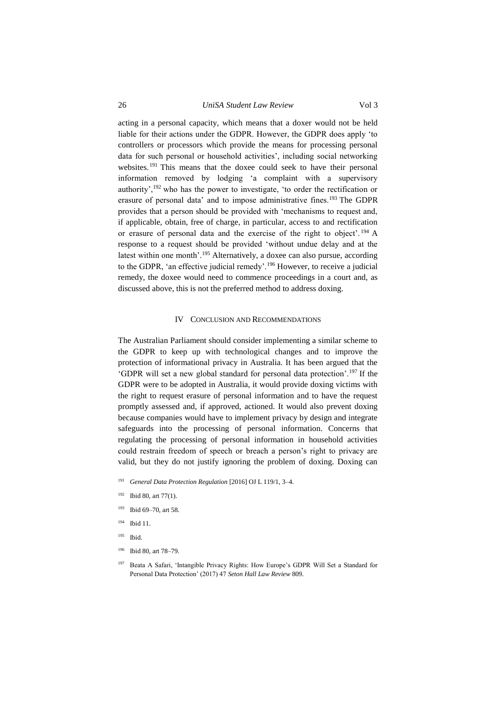26 *UniSA Student Law Review* Vol 3

acting in a personal capacity, which means that a doxer would not be held liable for their actions under the GDPR. However, the GDPR does apply 'to controllers or processors which provide the means for processing personal data for such personal or household activities', including social networking websites. <sup>191</sup> This means that the doxee could seek to have their personal information removed by lodging 'a complaint with a supervisory authority',<sup>192</sup> who has the power to investigate, 'to order the rectification or erasure of personal data' and to impose administrative fines.<sup>193</sup> The GDPR provides that a person should be provided with 'mechanisms to request and, if applicable, obtain, free of charge, in particular, access to and rectification or erasure of personal data and the exercise of the right to object'. <sup>194</sup> A response to a request should be provided 'without undue delay and at the latest within one month'.<sup>195</sup> Alternatively, a doxee can also pursue, according to the GDPR, 'an effective judicial remedy'.<sup>196</sup> However, to receive a judicial remedy, the doxee would need to commence proceedings in a court and, as discussed above, this is not the preferred method to address doxing.

#### IV CONCLUSION AND RECOMMENDATIONS

<span id="page-25-0"></span>The Australian Parliament should consider implementing a similar scheme to the GDPR to keep up with technological changes and to improve the protection of informational privacy in Australia. It has been argued that the 'GDPR will set a new global standard for personal data protection'.<sup>197</sup> If the GDPR were to be adopted in Australia, it would provide doxing victims with the right to request erasure of personal information and to have the request promptly assessed and, if approved, actioned. It would also prevent doxing because companies would have to implement privacy by design and integrate safeguards into the processing of personal information. Concerns that regulating the processing of personal information in household activities could restrain freedom of speech or breach a person's right to privacy are valid, but they do not justify ignoring the problem of doxing. Doxing can

- <sup>191</sup> *General Data Protection Regulation* [2016] OJ L 119/1, 3–4.
- $192$  Ibid 80, art 77(1).
- <sup>193</sup> Ibid 69–70, art 58.
- <sup>194</sup> Ibid 11.
- <sup>195</sup> Ibid.
- <sup>196</sup> Ibid 80, art 78–79.
- <sup>197</sup> Beata A Safari, 'Intangible Privacy Rights: How Europe's GDPR Will Set a Standard for Personal Data Protection' (2017) 47 *Seton Hall Law Review* 809.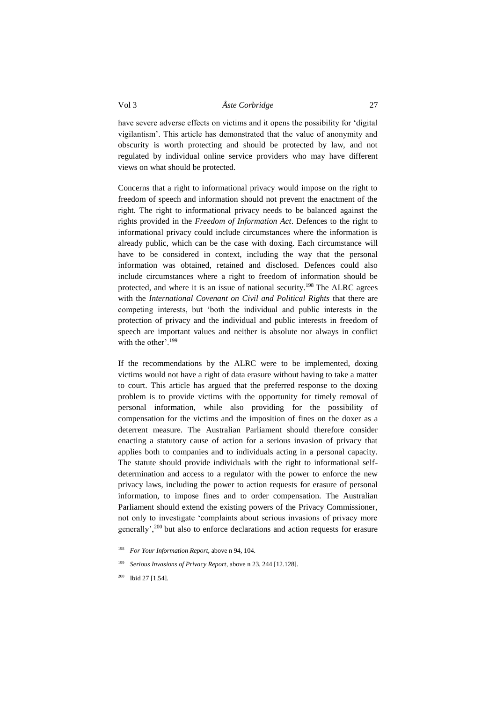have severe adverse effects on victims and it opens the possibility for 'digital vigilantism'. This article has demonstrated that the value of anonymity and obscurity is worth protecting and should be protected by law, and not regulated by individual online service providers who may have different views on what should be protected.

Concerns that a right to informational privacy would impose on the right to freedom of speech and information should not prevent the enactment of the right. The right to informational privacy needs to be balanced against the rights provided in the *Freedom of Information Act*. Defences to the right to informational privacy could include circumstances where the information is already public, which can be the case with doxing. Each circumstance will have to be considered in context, including the way that the personal information was obtained, retained and disclosed. Defences could also include circumstances where a right to freedom of information should be protected, and where it is an issue of national security.<sup>198</sup> The ALRC agrees with the *International Covenant on Civil and Political Rights* that there are competing interests, but 'both the individual and public interests in the protection of privacy and the individual and public interests in freedom of speech are important values and neither is absolute nor always in conflict with the other'.<sup>199</sup>

If the recommendations by the ALRC were to be implemented, doxing victims would not have a right of data erasure without having to take a matter to court. This article has argued that the preferred response to the doxing problem is to provide victims with the opportunity for timely removal of personal information, while also providing for the possibility of compensation for the victims and the imposition of fines on the doxer as a deterrent measure. The Australian Parliament should therefore consider enacting a statutory cause of action for a serious invasion of privacy that applies both to companies and to individuals acting in a personal capacity. The statute should provide individuals with the right to informational selfdetermination and access to a regulator with the power to enforce the new privacy laws, including the power to action requests for erasure of personal information, to impose fines and to order compensation. The Australian Parliament should extend the existing powers of the Privacy Commissioner, not only to investigate 'complaints about serious invasions of privacy more generally',<sup>200</sup> but also to enforce declarations and action requests for erasure

<sup>198</sup> *For Your Information Report*, above [n 94,](#page-12-0) 104.

<sup>199</sup> *Serious Invasions of Privacy Report*, above [n 23,](#page-4-0) 244 [12.128].

<sup>&</sup>lt;sup>200</sup> Ibid 27 [1.54].